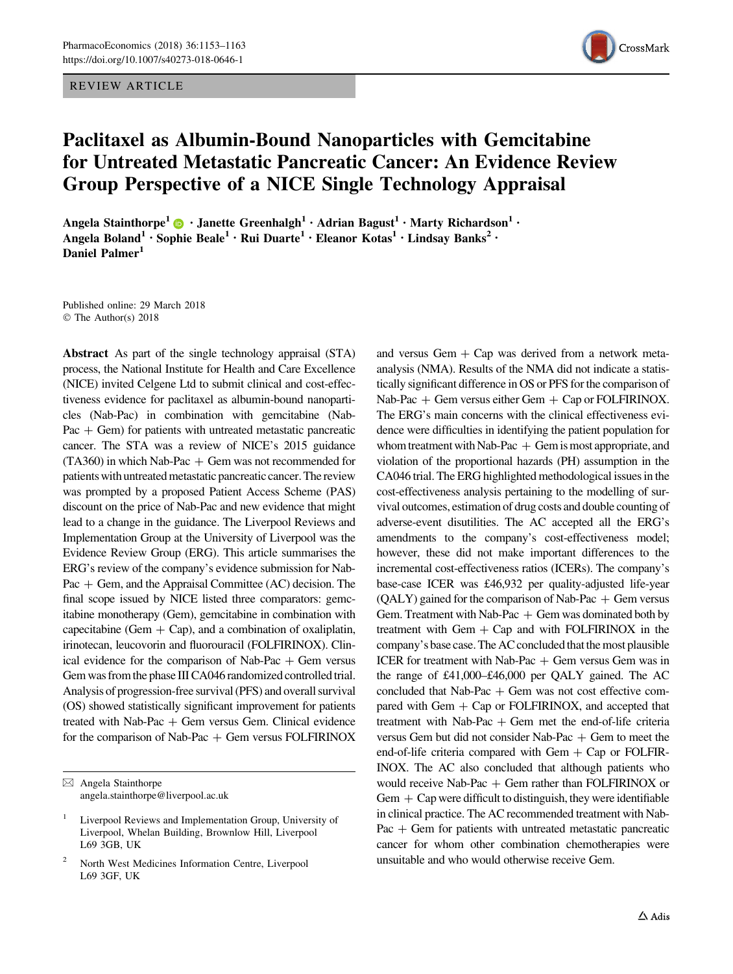REVIEW ARTICLE



# Paclitaxel as Albumin-Bound Nanoparticles with Gemcitabine for Untreated Metastatic Pancreatic Cancer: An Evidence Review Group Perspective of a NICE Single Technology Appraisal

Angela Stainthorpe<sup>[1](http://orcid.org/0000-0002-2531-9371)</sup>  $\bigcirc \cdot$  Janette Greenhalgh<sup>1</sup> • Adrian Bagust<sup>1</sup> • Marty Richardson<sup>1</sup> • Angela Boland<sup>1</sup> • Sophie Beale<sup>1</sup> • Rui Duarte<sup>1</sup> • Eleanor Kotas<sup>1</sup> • Lindsay Banks<sup>2</sup> • Daniel Palmer<sup>1</sup>

Published online: 29 March 2018 © The Author(s) 2018

Abstract As part of the single technology appraisal (STA) process, the National Institute for Health and Care Excellence (NICE) invited Celgene Ltd to submit clinical and cost-effectiveness evidence for paclitaxel as albumin-bound nanoparticles (Nab-Pac) in combination with gemcitabine (Nab- $Pac + Gem$ ) for patients with untreated metastatic pancreatic cancer. The STA was a review of NICE's 2015 guidance  $(TA360)$  in which Nab-Pac  $+$  Gem was not recommended for patients with untreated metastatic pancreatic cancer. The review was prompted by a proposed Patient Access Scheme (PAS) discount on the price of Nab-Pac and new evidence that might lead to a change in the guidance. The Liverpool Reviews and Implementation Group at the University of Liverpool was the Evidence Review Group (ERG). This article summarises the ERG's review of the company's evidence submission for Nab- $Pac + Gem$ , and the Appraisal Committee (AC) decision. The final scope issued by NICE listed three comparators: gemcitabine monotherapy (Gem), gemcitabine in combination with capecitabine (Gem  $+$  Cap), and a combination of oxaliplatin, irinotecan, leucovorin and fluorouracil (FOLFIRINOX). Clinical evidence for the comparison of Nab-Pac  $+$  Gem versus Gem was from the phase III CA046 randomized controlled trial. Analysis of progression-free survival (PFS) and overall survival (OS) showed statistically significant improvement for patients treated with Nab-Pac  $+$  Gem versus Gem. Clinical evidence for the comparison of Nab-Pac  $+$  Gem versus FOLFIRINOX

and versus Gem  $+$  Cap was derived from a network metaanalysis (NMA). Results of the NMA did not indicate a statistically significant difference in OS or PFS for the comparison of Nab-Pac  $+$  Gem versus either Gem  $+$  Cap or FOLFIRINOX. The ERG's main concerns with the clinical effectiveness evidence were difficulties in identifying the patient population for whom treatment with Nab-Pac  $+$  Gem is most appropriate, and violation of the proportional hazards (PH) assumption in the CA046 trial. The ERG highlighted methodological issues in the cost-effectiveness analysis pertaining to the modelling of survival outcomes, estimation of drug costs and double counting of adverse-event disutilities. The AC accepted all the ERG's amendments to the company's cost-effectiveness model; however, these did not make important differences to the incremental cost-effectiveness ratios (ICERs). The company's base-case ICER was £46,932 per quality-adjusted life-year ( $OALY$ ) gained for the comparison of Nab-Pac  $+$  Gem versus Gem. Treatment with Nab-Pac  $+$  Gem was dominated both by treatment with  $Gem + Cap$  and with FOLFIRINOX in the company's base case. The AC concluded that the most plausible ICER for treatment with Nab-Pac  $+$  Gem versus Gem was in the range of £41,000–£46,000 per QALY gained. The AC concluded that Nab-Pac  $+$  Gem was not cost effective compared with Gem  $+$  Cap or FOLFIRINOX, and accepted that treatment with Nab-Pac  $+$  Gem met the end-of-life criteria versus Gem but did not consider Nab-Pac  $+$  Gem to meet the end-of-life criteria compared with  $Gem + Cap$  or FOLFIR-INOX. The AC also concluded that although patients who would receive Nab-Pac  $+$  Gem rather than FOLFIRINOX or  $Gem + Cap$  were difficult to distinguish, they were identifiable in clinical practice. The AC recommended treatment with Nab- $Pac + Gem$  for patients with untreated metastatic pancreatic cancer for whom other combination chemotherapies were unsuitable and who would otherwise receive Gem.

 $\boxtimes$  Angela Stainthorpe angela.stainthorpe@liverpool.ac.uk

Liverpool Reviews and Implementation Group, University of Liverpool, Whelan Building, Brownlow Hill, Liverpool L69 3GB, UK

<sup>2</sup> North West Medicines Information Centre, Liverpool L69 3GF, UK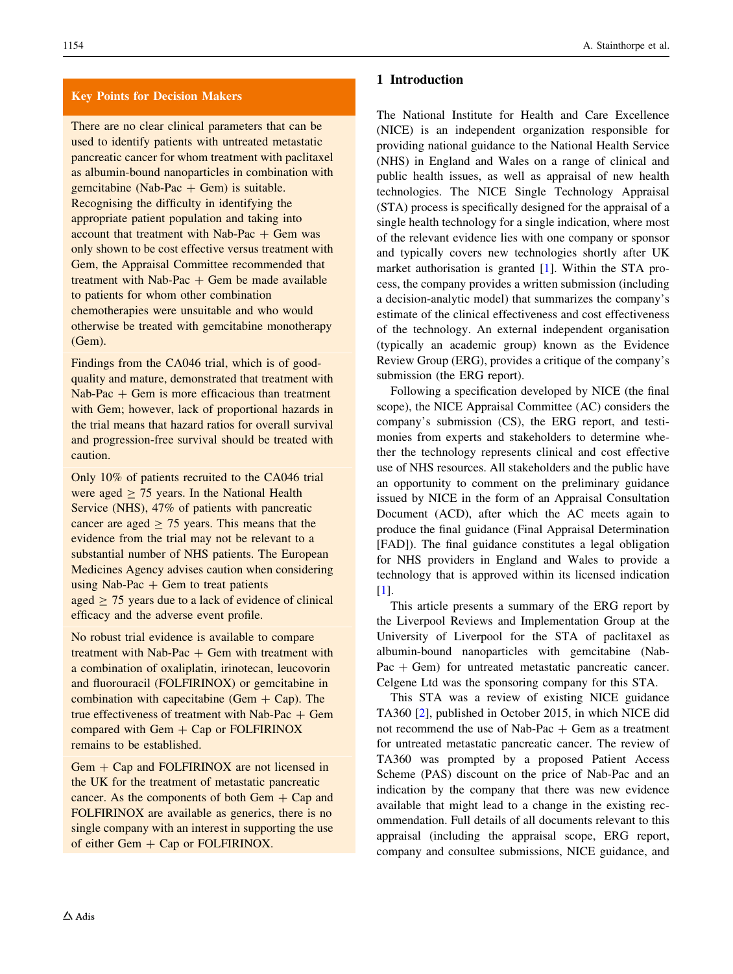# Key Points for Decision Makers

There are no clear clinical parameters that can be used to identify patients with untreated metastatic pancreatic cancer for whom treatment with paclitaxel as albumin-bound nanoparticles in combination with gemcitabine (Nab-Pac  $+$  Gem) is suitable. Recognising the difficulty in identifying the appropriate patient population and taking into account that treatment with Nab-Pac  $+$  Gem was only shown to be cost effective versus treatment with Gem, the Appraisal Committee recommended that treatment with Nab-Pac  $+$  Gem be made available to patients for whom other combination chemotherapies were unsuitable and who would otherwise be treated with gemcitabine monotherapy (Gem).

Findings from the CA046 trial, which is of goodquality and mature, demonstrated that treatment with Nab-Pac  $+$  Gem is more efficacious than treatment with Gem; however, lack of proportional hazards in the trial means that hazard ratios for overall survival and progression-free survival should be treated with caution.

Only 10% of patients recruited to the CA046 trial were aged  $> 75$  years. In the National Health Service (NHS), 47% of patients with pancreatic cancer are aged  $\geq$  75 years. This means that the evidence from the trial may not be relevant to a substantial number of NHS patients. The European Medicines Agency advises caution when considering using Nab-Pac  $+$  Gem to treat patients aged  $\geq$  75 years due to a lack of evidence of clinical efficacy and the adverse event profile.

No robust trial evidence is available to compare treatment with Nab-Pac  $+$  Gem with treatment with a combination of oxaliplatin, irinotecan, leucovorin and fluorouracil (FOLFIRINOX) or gemcitabine in combination with capecitabine (Gem  $+$  Cap). The true effectiveness of treatment with Nab-Pac  $+$  Gem compared with Gem  $+$  Cap or FOLFIRINOX remains to be established.

 $Gem + Cap$  and FOLFIRINOX are not licensed in the UK for the treatment of metastatic pancreatic cancer. As the components of both  $Gen + Cap$  and FOLFIRINOX are available as generics, there is no single company with an interest in supporting the use of either  $Gem + Cap$  or FOLFIRINOX.

# 1 Introduction

The National Institute for Health and Care Excellence (NICE) is an independent organization responsible for providing national guidance to the National Health Service (NHS) in England and Wales on a range of clinical and public health issues, as well as appraisal of new health technologies. The NICE Single Technology Appraisal (STA) process is specifically designed for the appraisal of a single health technology for a single indication, where most of the relevant evidence lies with one company or sponsor and typically covers new technologies shortly after UK market authorisation is granted [\[1](#page-9-0)]. Within the STA process, the company provides a written submission (including a decision-analytic model) that summarizes the company's estimate of the clinical effectiveness and cost effectiveness of the technology. An external independent organisation (typically an academic group) known as the Evidence Review Group (ERG), provides a critique of the company's submission (the ERG report).

Following a specification developed by NICE (the final scope), the NICE Appraisal Committee (AC) considers the company's submission (CS), the ERG report, and testimonies from experts and stakeholders to determine whether the technology represents clinical and cost effective use of NHS resources. All stakeholders and the public have an opportunity to comment on the preliminary guidance issued by NICE in the form of an Appraisal Consultation Document (ACD), after which the AC meets again to produce the final guidance (Final Appraisal Determination [FAD]). The final guidance constitutes a legal obligation for NHS providers in England and Wales to provide a technology that is approved within its licensed indication [\[1](#page-9-0)].

This article presents a summary of the ERG report by the Liverpool Reviews and Implementation Group at the University of Liverpool for the STA of paclitaxel as albumin-bound nanoparticles with gemcitabine (Nab- $Pac + Gem)$  for untreated metastatic pancreatic cancer. Celgene Ltd was the sponsoring company for this STA.

This STA was a review of existing NICE guidance TA360 [[2\]](#page-9-0), published in October 2015, in which NICE did not recommend the use of Nab-Pac  $+$  Gem as a treatment for untreated metastatic pancreatic cancer. The review of TA360 was prompted by a proposed Patient Access Scheme (PAS) discount on the price of Nab-Pac and an indication by the company that there was new evidence available that might lead to a change in the existing recommendation. Full details of all documents relevant to this appraisal (including the appraisal scope, ERG report, company and consultee submissions, NICE guidance, and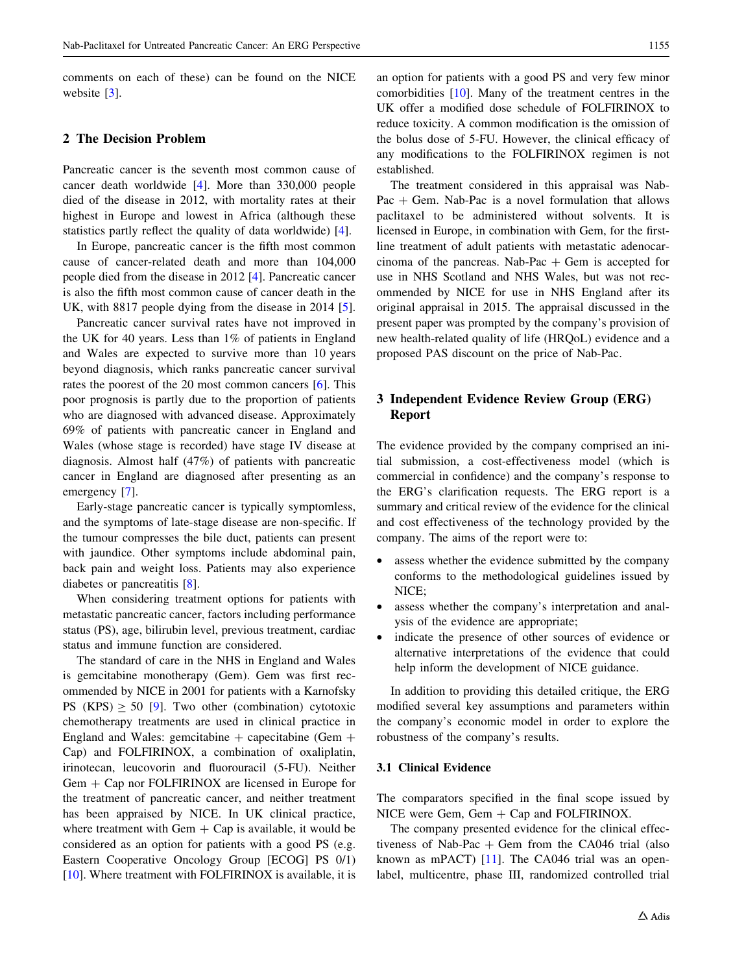comments on each of these) can be found on the NICE website [\[3](#page-9-0)].

# 2 The Decision Problem

Pancreatic cancer is the seventh most common cause of cancer death worldwide [\[4](#page-9-0)]. More than 330,000 people died of the disease in 2012, with mortality rates at their highest in Europe and lowest in Africa (although these statistics partly reflect the quality of data worldwide) [\[4](#page-9-0)].

In Europe, pancreatic cancer is the fifth most common cause of cancer-related death and more than 104,000 people died from the disease in 2012 [\[4](#page-9-0)]. Pancreatic cancer is also the fifth most common cause of cancer death in the UK, with 8817 people dying from the disease in 2014 [\[5](#page-9-0)].

Pancreatic cancer survival rates have not improved in the UK for 40 years. Less than 1% of patients in England and Wales are expected to survive more than 10 years beyond diagnosis, which ranks pancreatic cancer survival rates the poorest of the 20 most common cancers [\[6](#page-9-0)]. This poor prognosis is partly due to the proportion of patients who are diagnosed with advanced disease. Approximately 69% of patients with pancreatic cancer in England and Wales (whose stage is recorded) have stage IV disease at diagnosis. Almost half (47%) of patients with pancreatic cancer in England are diagnosed after presenting as an emergency [[7\]](#page-9-0).

Early-stage pancreatic cancer is typically symptomless, and the symptoms of late-stage disease are non-specific. If the tumour compresses the bile duct, patients can present with jaundice. Other symptoms include abdominal pain, back pain and weight loss. Patients may also experience diabetes or pancreatitis [[8\]](#page-9-0).

When considering treatment options for patients with metastatic pancreatic cancer, factors including performance status (PS), age, bilirubin level, previous treatment, cardiac status and immune function are considered.

The standard of care in the NHS in England and Wales is gemcitabine monotherapy (Gem). Gem was first recommended by NICE in 2001 for patients with a Karnofsky PS (KPS)  $\geq$  50 [[9\]](#page-9-0). Two other (combination) cytotoxic chemotherapy treatments are used in clinical practice in England and Wales: gemcitabine  $+$  capecitabine (Gem  $+$ Cap) and FOLFIRINOX, a combination of oxaliplatin, irinotecan, leucovorin and fluorouracil (5-FU). Neither Gem + Cap nor FOLFIRINOX are licensed in Europe for the treatment of pancreatic cancer, and neither treatment has been appraised by NICE. In UK clinical practice, where treatment with  $Gem + Cap$  is available, it would be considered as an option for patients with a good PS (e.g. Eastern Cooperative Oncology Group [ECOG] PS 0/1) [\[10](#page-9-0)]. Where treatment with FOLFIRINOX is available, it is an option for patients with a good PS and very few minor comorbidities [[10\]](#page-9-0). Many of the treatment centres in the UK offer a modified dose schedule of FOLFIRINOX to reduce toxicity. A common modification is the omission of the bolus dose of 5-FU. However, the clinical efficacy of any modifications to the FOLFIRINOX regimen is not established.

The treatment considered in this appraisal was Nab-Pac  $+$  Gem. Nab-Pac is a novel formulation that allows paclitaxel to be administered without solvents. It is licensed in Europe, in combination with Gem, for the firstline treatment of adult patients with metastatic adenocarcinoma of the pancreas. Nab-Pac  $+$  Gem is accepted for use in NHS Scotland and NHS Wales, but was not recommended by NICE for use in NHS England after its original appraisal in 2015. The appraisal discussed in the present paper was prompted by the company's provision of new health-related quality of life (HRQoL) evidence and a proposed PAS discount on the price of Nab-Pac.

# 3 Independent Evidence Review Group (ERG) Report

The evidence provided by the company comprised an initial submission, a cost-effectiveness model (which is commercial in confidence) and the company's response to the ERG's clarification requests. The ERG report is a summary and critical review of the evidence for the clinical and cost effectiveness of the technology provided by the company. The aims of the report were to:

- assess whether the evidence submitted by the company conforms to the methodological guidelines issued by NICE;
- assess whether the company's interpretation and analysis of the evidence are appropriate;
- indicate the presence of other sources of evidence or alternative interpretations of the evidence that could help inform the development of NICE guidance.

In addition to providing this detailed critique, the ERG modified several key assumptions and parameters within the company's economic model in order to explore the robustness of the company's results.

# 3.1 Clinical Evidence

The comparators specified in the final scope issued by NICE were Gem, Gem  $+$  Cap and FOLFIRINOX.

The company presented evidence for the clinical effectiveness of Nab-Pac  $+$  Gem from the CA046 trial (also known as mPACT)  $[11]$  $[11]$ . The CA046 trial was an openlabel, multicentre, phase III, randomized controlled trial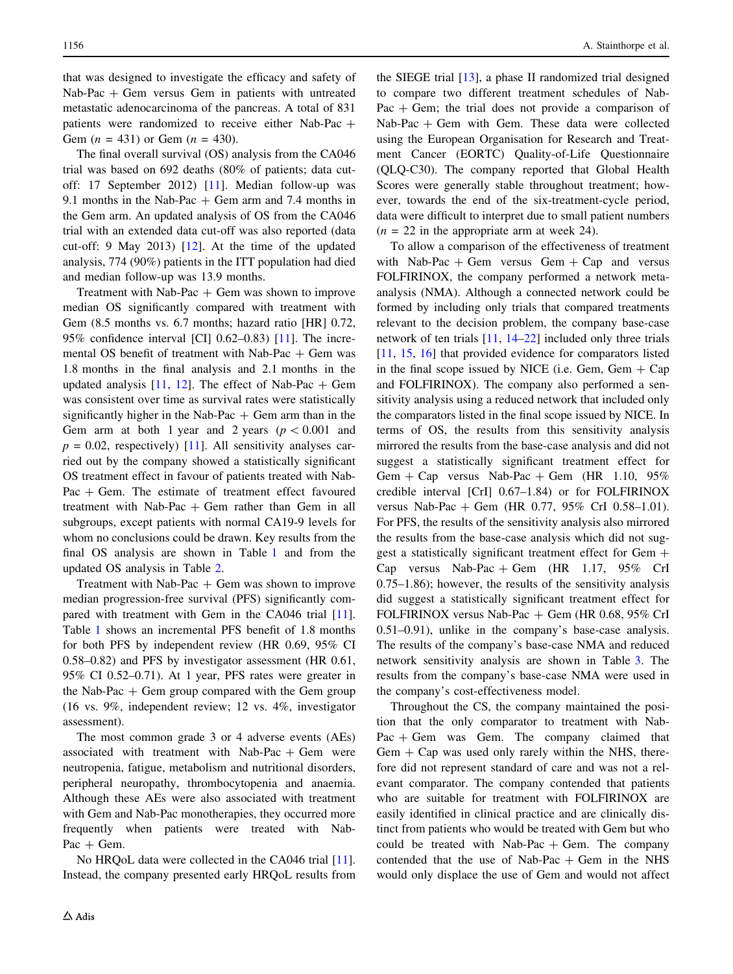that was designed to investigate the efficacy and safety of  $Nab-Pac + Gem$  versus Gem in patients with untreated metastatic adenocarcinoma of the pancreas. A total of 831 patients were randomized to receive either Nab-Pac  $+$ Gem  $(n = 431)$  or Gem  $(n = 430)$ .

The final overall survival (OS) analysis from the CA046 trial was based on 692 deaths (80% of patients; data cutoff: 17 September 2012) [\[11](#page-9-0)]. Median follow-up was 9.1 months in the Nab-Pac  $+$  Gem arm and 7.4 months in the Gem arm. An updated analysis of OS from the CA046 trial with an extended data cut-off was also reported (data cut-off: 9 May 2013) [[12\]](#page-10-0). At the time of the updated analysis, 774 (90%) patients in the ITT population had died and median follow-up was 13.9 months.

Treatment with Nab-Pac  $+$  Gem was shown to improve median OS significantly compared with treatment with Gem (8.5 months vs. 6.7 months; hazard ratio [HR] 0.72, 95% confidence interval [CI] 0.62–0.83) [\[11](#page-9-0)]. The incremental OS benefit of treatment with Nab-Pac  $+$  Gem was 1.8 months in the final analysis and 2.1 months in the updated analysis  $[11, 12]$  $[11, 12]$  $[11, 12]$ . The effect of Nab-Pac + Gem was consistent over time as survival rates were statistically significantly higher in the Nab-Pac  $+$  Gem arm than in the Gem arm at both 1 year and 2 years ( $p < 0.001$  and  $p = 0.02$ , respectively) [[11\]](#page-9-0). All sensitivity analyses carried out by the company showed a statistically significant OS treatment effect in favour of patients treated with Nab-Pac  $+$  Gem. The estimate of treatment effect favoured treatment with Nab-Pac  $+$  Gem rather than Gem in all subgroups, except patients with normal CA19-9 levels for whom no conclusions could be drawn. Key results from the final OS analysis are shown in Table [1](#page-4-0) and from the updated OS analysis in Table [2.](#page-4-0)

Treatment with Nab-Pac  $+$  Gem was shown to improve median progression-free survival (PFS) significantly compared with treatment with Gem in the CA046 trial [\[11](#page-9-0)]. Table [1](#page-4-0) shows an incremental PFS benefit of 1.8 months for both PFS by independent review (HR 0.69, 95% CI 0.58–0.82) and PFS by investigator assessment (HR 0.61, 95% CI 0.52–0.71). At 1 year, PFS rates were greater in the Nab-Pac  $+$  Gem group compared with the Gem group (16 vs. 9%, independent review; 12 vs. 4%, investigator assessment).

The most common grade 3 or 4 adverse events (AEs) associated with treatment with Nab-Pac  $+$  Gem were neutropenia, fatigue, metabolism and nutritional disorders, peripheral neuropathy, thrombocytopenia and anaemia. Although these AEs were also associated with treatment with Gem and Nab-Pac monotherapies, they occurred more frequently when patients were treated with Nab- $Pac + Gem$ .

No HRQoL data were collected in the CA046 trial [\[11](#page-9-0)]. Instead, the company presented early HRQoL results from

the SIEGE trial [[13\]](#page-10-0), a phase II randomized trial designed to compare two different treatment schedules of Nab-Pac  $+$  Gem; the trial does not provide a comparison of Nab-Pac  $+$  Gem with Gem. These data were collected using the European Organisation for Research and Treatment Cancer (EORTC) Quality-of-Life Questionnaire (QLQ-C30). The company reported that Global Health Scores were generally stable throughout treatment; however, towards the end of the six-treatment-cycle period, data were difficult to interpret due to small patient numbers  $(n = 22$  in the appropriate arm at week 24).

To allow a comparison of the effectiveness of treatment with Nab-Pac  $+$  Gem versus Gem  $+$  Cap and versus FOLFIRINOX, the company performed a network metaanalysis (NMA). Although a connected network could be formed by including only trials that compared treatments relevant to the decision problem, the company base-case network of ten trials [\[11](#page-9-0), [14–22\]](#page-10-0) included only three trials [\[11](#page-9-0), [15](#page-10-0), [16](#page-10-0)] that provided evidence for comparators listed in the final scope issued by NICE (i.e. Gem, Gem  $+$  Cap and FOLFIRINOX). The company also performed a sensitivity analysis using a reduced network that included only the comparators listed in the final scope issued by NICE. In terms of OS, the results from this sensitivity analysis mirrored the results from the base-case analysis and did not suggest a statistically significant treatment effect for Gem  $+$  Cap versus Nab-Pac  $+$  Gem (HR 1.10, 95%) credible interval [CrI] 0.67–1.84) or for FOLFIRINOX versus Nab-Pac + Gem (HR  $0.77$ ,  $95\%$  CrI  $0.58-1.01$ ). For PFS, the results of the sensitivity analysis also mirrored the results from the base-case analysis which did not suggest a statistically significant treatment effect for Gem  $+$ Cap versus Nab-Pac + Gem (HR 1.17,  $95\%$  CrI 0.75–1.86); however, the results of the sensitivity analysis did suggest a statistically significant treatment effect for FOLFIRINOX versus Nab-Pac  $+$  Gem (HR 0.68, 95% CrI 0.51–0.91), unlike in the company's base-case analysis. The results of the company's base-case NMA and reduced network sensitivity analysis are shown in Table [3.](#page-4-0) The results from the company's base-case NMA were used in the company's cost-effectiveness model.

Throughout the CS, the company maintained the position that the only comparator to treatment with Nab- $Pac + Gem$  was Gem. The company claimed that  $Gem + Cap$  was used only rarely within the NHS, therefore did not represent standard of care and was not a relevant comparator. The company contended that patients who are suitable for treatment with FOLFIRINOX are easily identified in clinical practice and are clinically distinct from patients who would be treated with Gem but who could be treated with Nab-Pac  $+$  Gem. The company contended that the use of Nab-Pac  $+$  Gem in the NHS would only displace the use of Gem and would not affect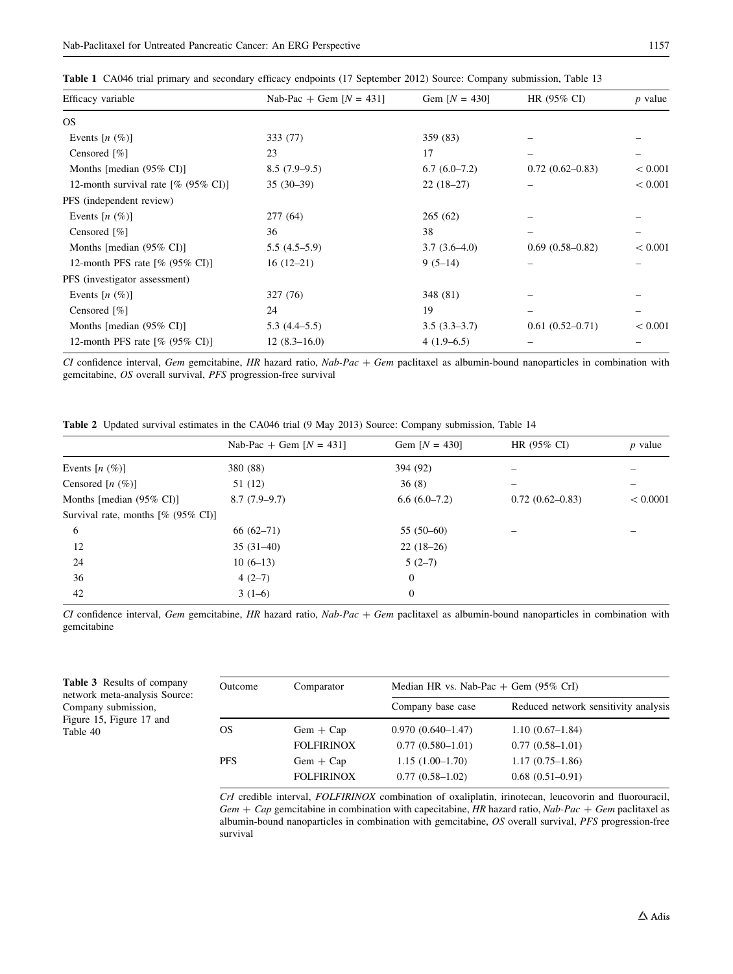<span id="page-4-0"></span>Table 1 CA046 trial primary and secondary efficacy endpoints (17 September 2012) Source: Company submission, Table 13

| Efficacy variable                     | Nab-Pac + Gem $[N = 431]$ | Gem $[N = 430]$ | HR (95% CI)         | $p$ value |
|---------------------------------------|---------------------------|-----------------|---------------------|-----------|
| <b>OS</b>                             |                           |                 |                     |           |
| Events $[n \ (\%)]$                   | 333 (77)                  | 359 (83)        |                     |           |
| Censored [%]                          | 23                        | 17              |                     |           |
| Months [median $(95\% \text{ CI})$ ]  | $8.5(7.9-9.5)$            | $6.7(6.0-7.2)$  | $0.72(0.62 - 0.83)$ | < 0.001   |
| 12-month survival rate $[% (95% CI)]$ | $35(30-39)$               | $22(18-27)$     |                     | < 0.001   |
| PFS (independent review)              |                           |                 |                     |           |
| Events $[n \ (\%)]$                   | 277 (64)                  | 265(62)         |                     |           |
| Censored [%]                          | 36                        | 38              |                     |           |
| Months [median $(95\% \text{ CI})$ ]  | $5.5(4.5-5.9)$            | $3.7(3.6-4.0)$  | $0.69(0.58 - 0.82)$ | < 0.001   |
| 12-month PFS rate $[% (95% CI)]$      | $16(12-21)$               | $9(5-14)$       |                     |           |
| PFS (investigator assessment)         |                           |                 |                     |           |
| Events $[n \ (\%)]$                   | 327 (76)                  | 348 (81)        |                     |           |
| Censored [%]                          | 24                        | 19              |                     |           |
| Months [median $(95\% \text{ CI})$ ]  | $5.3(4.4-5.5)$            | $3.5(3.3-3.7)$  | $0.61(0.52-0.71)$   | < 0.001   |
| 12-month PFS rate $[% (95% CI)]$      | $12(8.3-16.0)$            | $4(1.9-6.5)$    |                     |           |

CI confidence interval, Gem gemcitabine, HR hazard ratio, Nab-Pac + Gem paclitaxel as albumin-bound nanoparticles in combination with gemcitabine, OS overall survival, PFS progression-free survival

Table 2 Updated survival estimates in the CA046 trial (9 May 2013) Source: Company submission, Table 14

|                                      | Nab-Pac + Gem $[N = 431]$ | Gem $[N = 430]$ | HR $(95\% \text{ CI})$ | $p$ value |
|--------------------------------------|---------------------------|-----------------|------------------------|-----------|
| Events $[n \ (\%)]$                  | 380 (88)                  | 394 (92)        |                        |           |
| Censored $[n \ (\%)]$                | 51 (12)                   | 36(8)           |                        |           |
| Months [median $(95\% \text{ CI})$ ] | $8.7(7.9-9.7)$            | $6.6(6.0-7.2)$  | $0.72(0.62 - 0.83)$    | < 0.0001  |
| Survival rate, months $[% (95% CI)]$ |                           |                 |                        |           |
| 6                                    | $66(62-71)$               | $55(50-60)$     |                        |           |
| 12                                   | $35(31-40)$               | $22(18-26)$     |                        |           |
| 24                                   | $10(6-13)$                | $5(2-7)$        |                        |           |
| 36                                   | $4(2-7)$                  | $\theta$        |                        |           |
| 42                                   | $3(1-6)$                  | $\theta$        |                        |           |

CI confidence interval, Gem gemcitabine, HR hazard ratio,  $Nab\text{-} Pac + Gem$  paclitaxel as albumin-bound nanoparticles in combination with gemcitabine

| Table 3 Results of company    |
|-------------------------------|
| network meta-analysis Source: |
| Company submission,           |
| Figure 15, Figure 17 and      |
| Table 40                      |

| Comparator        | Median HR vs. Nab-Pac $+$ Gem (95% CrI) |                                      |  |
|-------------------|-----------------------------------------|--------------------------------------|--|
|                   | Company base case                       | Reduced network sensitivity analysis |  |
| $Gen + Cap$       | $0.970(0.640-1.47)$                     | $1.10(0.67-1.84)$                    |  |
| <b>FOLFIRINOX</b> | $0.77(0.580-1.01)$                      | $0.77(0.58-1.01)$                    |  |
| $Gen + Cap$       | $1.15(1.00-1.70)$                       | $1.17(0.75-1.86)$                    |  |
| <b>FOLFIRINOX</b> | $0.77(0.58-1.02)$                       | $0.68(0.51-0.91)$                    |  |
|                   |                                         |                                      |  |

CrI credible interval, FOLFIRINOX combination of oxaliplatin, irinotecan, leucovorin and fluorouracil,  $Gem + Cap$  gemcitabine in combination with capecitabine, HR hazard ratio, Nab-Pac + Gem paclitaxel as albumin-bound nanoparticles in combination with gemcitabine, OS overall survival, PFS progression-free survival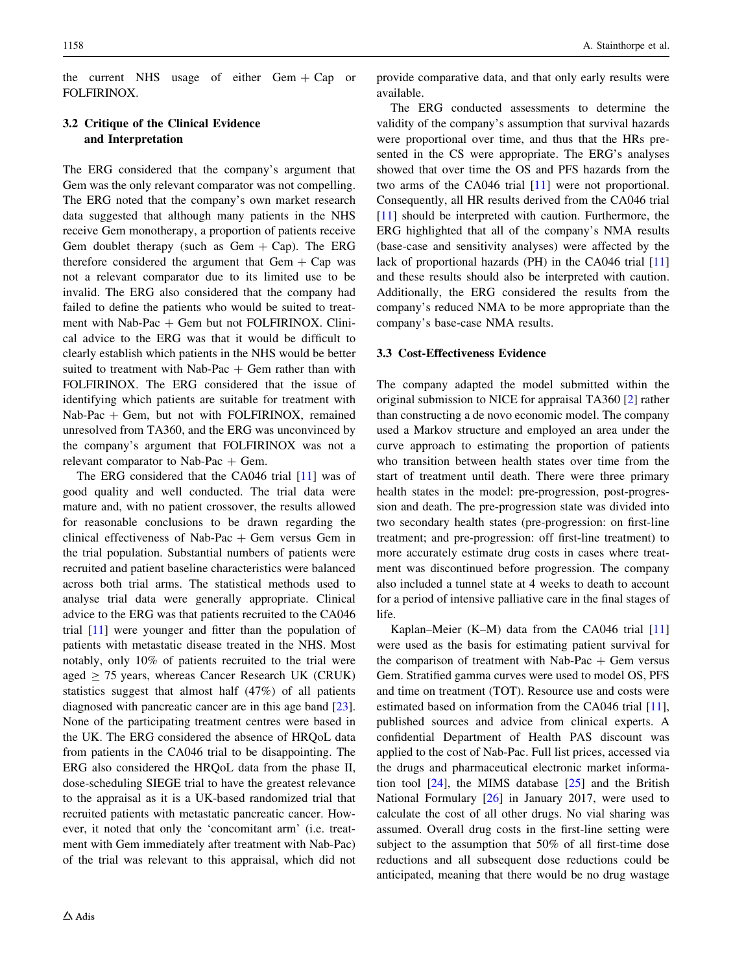the current NHS usage of either  $Gem + Cap$  or FOLFIRINOX.

# 3.2 Critique of the Clinical Evidence and Interpretation

The ERG considered that the company's argument that Gem was the only relevant comparator was not compelling. The ERG noted that the company's own market research data suggested that although many patients in the NHS receive Gem monotherapy, a proportion of patients receive Gem doublet therapy (such as  $Gem + Cap$ ). The ERG therefore considered the argument that  $Gem + Cap$  was not a relevant comparator due to its limited use to be invalid. The ERG also considered that the company had failed to define the patients who would be suited to treatment with Nab-Pac  $+$  Gem but not FOLFIRINOX. Clinical advice to the ERG was that it would be difficult to clearly establish which patients in the NHS would be better suited to treatment with Nab-Pac  $+$  Gem rather than with FOLFIRINOX. The ERG considered that the issue of identifying which patients are suitable for treatment with Nab-Pac  $+$  Gem, but not with FOLFIRINOX, remained unresolved from TA360, and the ERG was unconvinced by the company's argument that FOLFIRINOX was not a relevant comparator to Nab-Pac  $+$  Gem.

The ERG considered that the CA046 trial [\[11](#page-9-0)] was of good quality and well conducted. The trial data were mature and, with no patient crossover, the results allowed for reasonable conclusions to be drawn regarding the clinical effectiveness of Nab-Pac  $+$  Gem versus Gem in the trial population. Substantial numbers of patients were recruited and patient baseline characteristics were balanced across both trial arms. The statistical methods used to analyse trial data were generally appropriate. Clinical advice to the ERG was that patients recruited to the CA046 trial [[11\]](#page-9-0) were younger and fitter than the population of patients with metastatic disease treated in the NHS. Most notably, only 10% of patients recruited to the trial were aged  $\geq$  75 years, whereas Cancer Research UK (CRUK) statistics suggest that almost half (47%) of all patients diagnosed with pancreatic cancer are in this age band [\[23](#page-10-0)]. None of the participating treatment centres were based in the UK. The ERG considered the absence of HRQoL data from patients in the CA046 trial to be disappointing. The ERG also considered the HRQoL data from the phase II, dose-scheduling SIEGE trial to have the greatest relevance to the appraisal as it is a UK-based randomized trial that recruited patients with metastatic pancreatic cancer. However, it noted that only the 'concomitant arm' (i.e. treatment with Gem immediately after treatment with Nab-Pac) of the trial was relevant to this appraisal, which did not provide comparative data, and that only early results were available.

The ERG conducted assessments to determine the validity of the company's assumption that survival hazards were proportional over time, and thus that the HRs presented in the CS were appropriate. The ERG's analyses showed that over time the OS and PFS hazards from the two arms of the CA046 trial [\[11](#page-9-0)] were not proportional. Consequently, all HR results derived from the CA046 trial [\[11](#page-9-0)] should be interpreted with caution. Furthermore, the ERG highlighted that all of the company's NMA results (base-case and sensitivity analyses) were affected by the lack of proportional hazards (PH) in the CA046 trial [[11\]](#page-9-0) and these results should also be interpreted with caution. Additionally, the ERG considered the results from the company's reduced NMA to be more appropriate than the company's base-case NMA results.

### 3.3 Cost-Effectiveness Evidence

The company adapted the model submitted within the original submission to NICE for appraisal TA360 [\[2](#page-9-0)] rather than constructing a de novo economic model. The company used a Markov structure and employed an area under the curve approach to estimating the proportion of patients who transition between health states over time from the start of treatment until death. There were three primary health states in the model: pre-progression, post-progression and death. The pre-progression state was divided into two secondary health states (pre-progression: on first-line treatment; and pre-progression: off first-line treatment) to more accurately estimate drug costs in cases where treatment was discontinued before progression. The company also included a tunnel state at 4 weeks to death to account for a period of intensive palliative care in the final stages of life.

Kaplan–Meier (K–M) data from the CA046 trial [[11\]](#page-9-0) were used as the basis for estimating patient survival for the comparison of treatment with Nab-Pac  $+$  Gem versus Gem. Stratified gamma curves were used to model OS, PFS and time on treatment (TOT). Resource use and costs were estimated based on information from the CA046 trial [\[11](#page-9-0)], published sources and advice from clinical experts. A confidential Department of Health PAS discount was applied to the cost of Nab-Pac. Full list prices, accessed via the drugs and pharmaceutical electronic market information tool [\[24](#page-10-0)], the MIMS database [\[25](#page-10-0)] and the British National Formulary [[26\]](#page-10-0) in January 2017, were used to calculate the cost of all other drugs. No vial sharing was assumed. Overall drug costs in the first-line setting were subject to the assumption that 50% of all first-time dose reductions and all subsequent dose reductions could be anticipated, meaning that there would be no drug wastage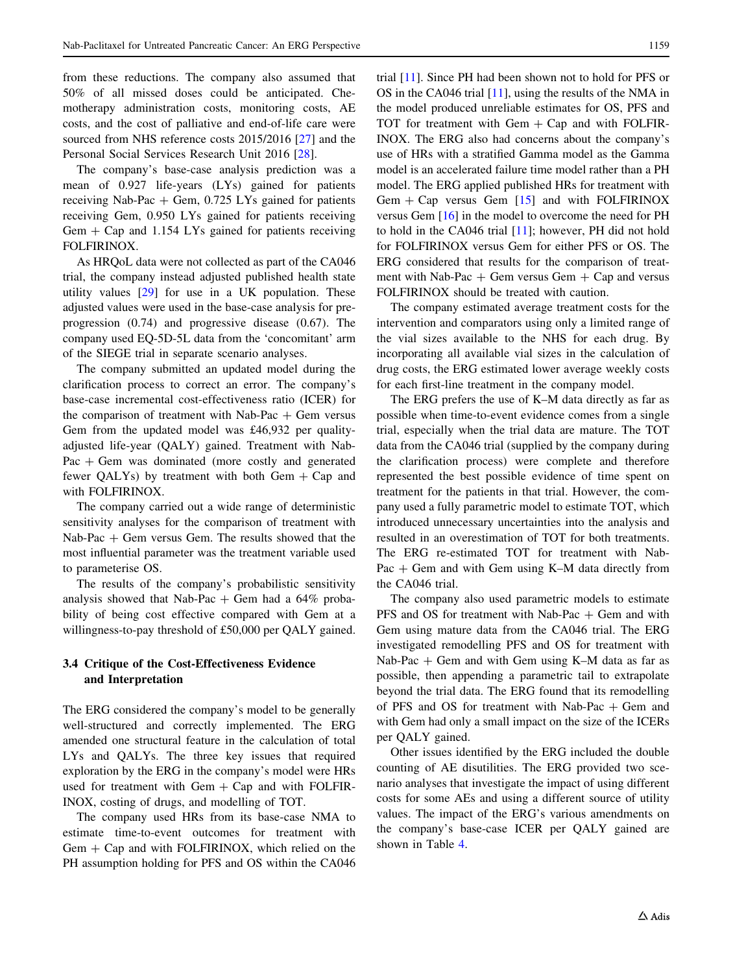from these reductions. The company also assumed that 50% of all missed doses could be anticipated. Chemotherapy administration costs, monitoring costs, AE costs, and the cost of palliative and end-of-life care were sourced from NHS reference costs 2015/2016 [\[27](#page-10-0)] and the Personal Social Services Research Unit 2016 [\[28](#page-10-0)].

The company's base-case analysis prediction was a mean of 0.927 life-years (LYs) gained for patients receiving Nab-Pac  $+$  Gem, 0.725 LYs gained for patients receiving Gem, 0.950 LYs gained for patients receiving  $Gem + Cap$  and 1.154 LYs gained for patients receiving FOLFIRINOX.

As HRQoL data were not collected as part of the CA046 trial, the company instead adjusted published health state utility values  $[29]$  $[29]$  for use in a UK population. These adjusted values were used in the base-case analysis for preprogression (0.74) and progressive disease (0.67). The company used EQ-5D-5L data from the 'concomitant' arm of the SIEGE trial in separate scenario analyses.

The company submitted an updated model during the clarification process to correct an error. The company's base-case incremental cost-effectiveness ratio (ICER) for the comparison of treatment with Nab-Pac  $+$  Gem versus Gem from the updated model was £46,932 per qualityadjusted life-year (QALY) gained. Treatment with Nab- $Pac + Gem$  was dominated (more costly and generated fewer QALYs) by treatment with both  $Gem + Cap$  and with FOLFIRINOX.

The company carried out a wide range of deterministic sensitivity analyses for the comparison of treatment with Nab-Pac  $+$  Gem versus Gem. The results showed that the most influential parameter was the treatment variable used to parameterise OS.

The results of the company's probabilistic sensitivity analysis showed that Nab-Pac  $+$  Gem had a 64% probability of being cost effective compared with Gem at a willingness-to-pay threshold of £50,000 per QALY gained.

# 3.4 Critique of the Cost-Effectiveness Evidence and Interpretation

The ERG considered the company's model to be generally well-structured and correctly implemented. The ERG amended one structural feature in the calculation of total LYs and QALYs. The three key issues that required exploration by the ERG in the company's model were HRs used for treatment with  $Gem + Cap$  and with FOLFIR-INOX, costing of drugs, and modelling of TOT.

The company used HRs from its base-case NMA to estimate time-to-event outcomes for treatment with  $Gem + Cap$  and with FOLFIRINOX, which relied on the PH assumption holding for PFS and OS within the CA046 trial [\[11](#page-9-0)]. Since PH had been shown not to hold for PFS or OS in the CA046 trial [[11\]](#page-9-0), using the results of the NMA in the model produced unreliable estimates for OS, PFS and TOT for treatment with  $Gem + Cap$  and with FOLFIR-INOX. The ERG also had concerns about the company's use of HRs with a stratified Gamma model as the Gamma model is an accelerated failure time model rather than a PH model. The ERG applied published HRs for treatment with Gem  $+$  Cap versus Gem [[15\]](#page-10-0) and with FOLFIRINOX versus Gem [[16\]](#page-10-0) in the model to overcome the need for PH to hold in the CA046 trial [\[11](#page-9-0)]; however, PH did not hold for FOLFIRINOX versus Gem for either PFS or OS. The ERG considered that results for the comparison of treatment with Nab-Pac  $+$  Gem versus Gem  $+$  Cap and versus FOLFIRINOX should be treated with caution.

The company estimated average treatment costs for the intervention and comparators using only a limited range of the vial sizes available to the NHS for each drug. By incorporating all available vial sizes in the calculation of drug costs, the ERG estimated lower average weekly costs for each first-line treatment in the company model.

The ERG prefers the use of K–M data directly as far as possible when time-to-event evidence comes from a single trial, especially when the trial data are mature. The TOT data from the CA046 trial (supplied by the company during the clarification process) were complete and therefore represented the best possible evidence of time spent on treatment for the patients in that trial. However, the company used a fully parametric model to estimate TOT, which introduced unnecessary uncertainties into the analysis and resulted in an overestimation of TOT for both treatments. The ERG re-estimated TOT for treatment with Nab- $Pac + Gem$  and with Gem using K–M data directly from the CA046 trial.

The company also used parametric models to estimate PFS and OS for treatment with Nab-Pac  $+$  Gem and with Gem using mature data from the CA046 trial. The ERG investigated remodelling PFS and OS for treatment with Nab-Pac  $+$  Gem and with Gem using K–M data as far as possible, then appending a parametric tail to extrapolate beyond the trial data. The ERG found that its remodelling of PFS and OS for treatment with Nab-Pac  $+$  Gem and with Gem had only a small impact on the size of the ICERs per QALY gained.

Other issues identified by the ERG included the double counting of AE disutilities. The ERG provided two scenario analyses that investigate the impact of using different costs for some AEs and using a different source of utility values. The impact of the ERG's various amendments on the company's base-case ICER per QALY gained are shown in Table [4.](#page-7-0)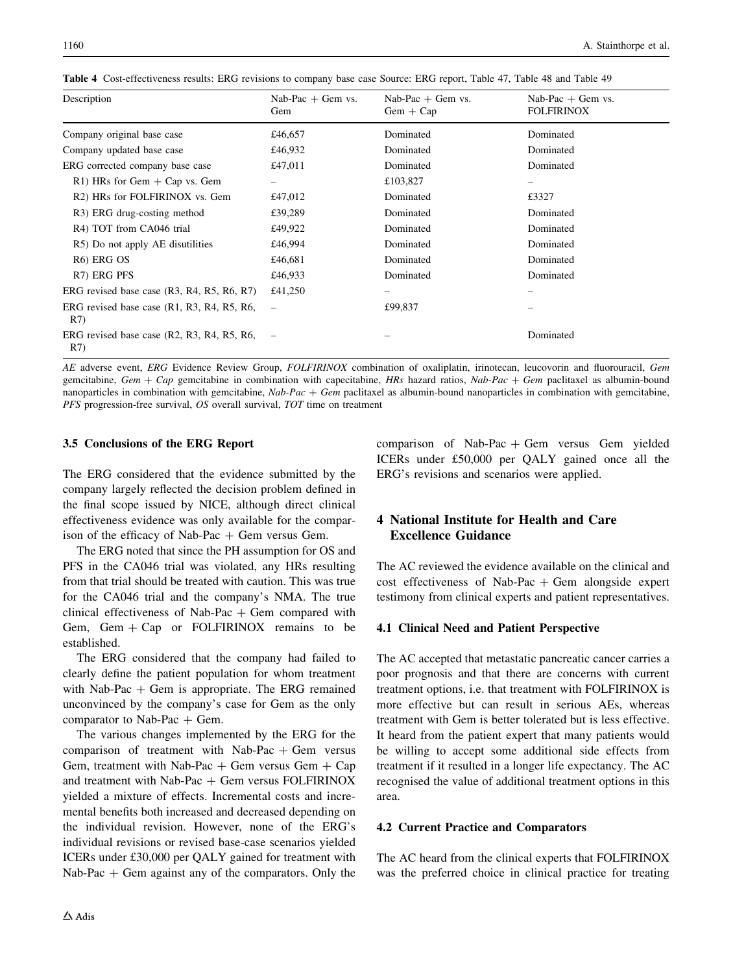| Description                                       | Nab-Pac $+$ Gem vs.<br>Gem | Nab-Pac $+$ Gem vs.<br>$Gen + Cap$ | Nab-Pac $+$ Gem vs.<br><b>FOLFIRINOX</b> |
|---------------------------------------------------|----------------------------|------------------------------------|------------------------------------------|
| Company original base case                        | £46,657                    | Dominated                          | Dominated                                |
| Company updated base case                         | £46,932                    | Dominated                          | Dominated                                |
| ERG corrected company base case                   | £47,011                    | Dominated                          | Dominated                                |
| $R1)$ HRs for Gem $+$ Cap vs. Gem                 |                            | £103,827                           |                                          |
| R2) HRs for FOLFIRINOX vs. Gem                    | £47,012                    | Dominated                          | £3327                                    |
| R <sub>3</sub> ) ERG drug-costing method          | £39,289                    | Dominated                          | Dominated                                |
| R4) TOT from CA046 trial                          | £49,922                    | Dominated                          | Dominated                                |
| R5) Do not apply AE disutilities                  | £46,994                    | Dominated                          | Dominated                                |
| R <sub>6</sub> ) ERG OS                           | £46,681                    | Dominated                          | Dominated                                |
| R7) ERG PFS                                       | £46,933                    | Dominated                          | Dominated                                |
| ERG revised base case (R3, R4, R5, R6, R7)        | £41,250                    |                                    |                                          |
| ERG revised base case (R1, R3, R4, R5, R6,<br>R7) | $\qquad \qquad -$          | £99,837                            |                                          |
| ERG revised base case (R2, R3, R4, R5, R6,<br>R7) |                            |                                    | Dominated                                |

<span id="page-7-0"></span>Table 4 Cost-effectiveness results: ERG revisions to company base case Source: ERG report, Table 47, Table 48 and Table 49

AE adverse event, ERG Evidence Review Group, FOLFIRINOX combination of oxaliplatin, irinotecan, leucovorin and fluorouracil, Gem gemcitabine,  $Gem + Cap$  gemcitabine in combination with capecitabine, HRs hazard ratios, Nab-Pac + Gem paclitaxel as albumin-bound nanoparticles in combination with gemcitabine,  $Nab-Pac + Gem$  paclitaxel as albumin-bound nanoparticles in combination with gemcitabine, PFS progression-free survival, OS overall survival, TOT time on treatment

### 3.5 Conclusions of the ERG Report

The ERG considered that the evidence submitted by the company largely reflected the decision problem defined in the final scope issued by NICE, although direct clinical effectiveness evidence was only available for the comparison of the efficacy of Nab-Pac  $+$  Gem versus Gem.

The ERG noted that since the PH assumption for OS and PFS in the CA046 trial was violated, any HRs resulting from that trial should be treated with caution. This was true for the CA046 trial and the company's NMA. The true clinical effectiveness of Nab-Pac  $+$  Gem compared with Gem, Gem  $+$  Cap or FOLFIRINOX remains to be established.

The ERG considered that the company had failed to clearly define the patient population for whom treatment with Nab-Pac  $+$  Gem is appropriate. The ERG remained unconvinced by the company's case for Gem as the only comparator to Nab-Pac  $+$  Gem.

The various changes implemented by the ERG for the comparison of treatment with Nab-Pac  $+$  Gem versus Gem, treatment with Nab-Pac  $+$  Gem versus Gem  $+$  Cap and treatment with Nab-Pac  $+$  Gem versus FOLFIRINOX yielded a mixture of effects. Incremental costs and incremental benefits both increased and decreased depending on the individual revision. However, none of the ERG's individual revisions or revised base-case scenarios yielded ICERs under £30,000 per QALY gained for treatment with Nab-Pac  $+$  Gem against any of the comparators. Only the comparison of Nab-Pac  $+$  Gem versus Gem yielded ICERs under £50,000 per QALY gained once all the ERG's revisions and scenarios were applied.

# 4 National Institute for Health and Care Excellence Guidance

The AC reviewed the evidence available on the clinical and cost effectiveness of Nab-Pac  $+$  Gem alongside expert testimony from clinical experts and patient representatives.

### 4.1 Clinical Need and Patient Perspective

The AC accepted that metastatic pancreatic cancer carries a poor prognosis and that there are concerns with current treatment options, i.e. that treatment with FOLFIRINOX is more effective but can result in serious AEs, whereas treatment with Gem is better tolerated but is less effective. It heard from the patient expert that many patients would be willing to accept some additional side effects from treatment if it resulted in a longer life expectancy. The AC recognised the value of additional treatment options in this area.

### 4.2 Current Practice and Comparators

The AC heard from the clinical experts that FOLFIRINOX was the preferred choice in clinical practice for treating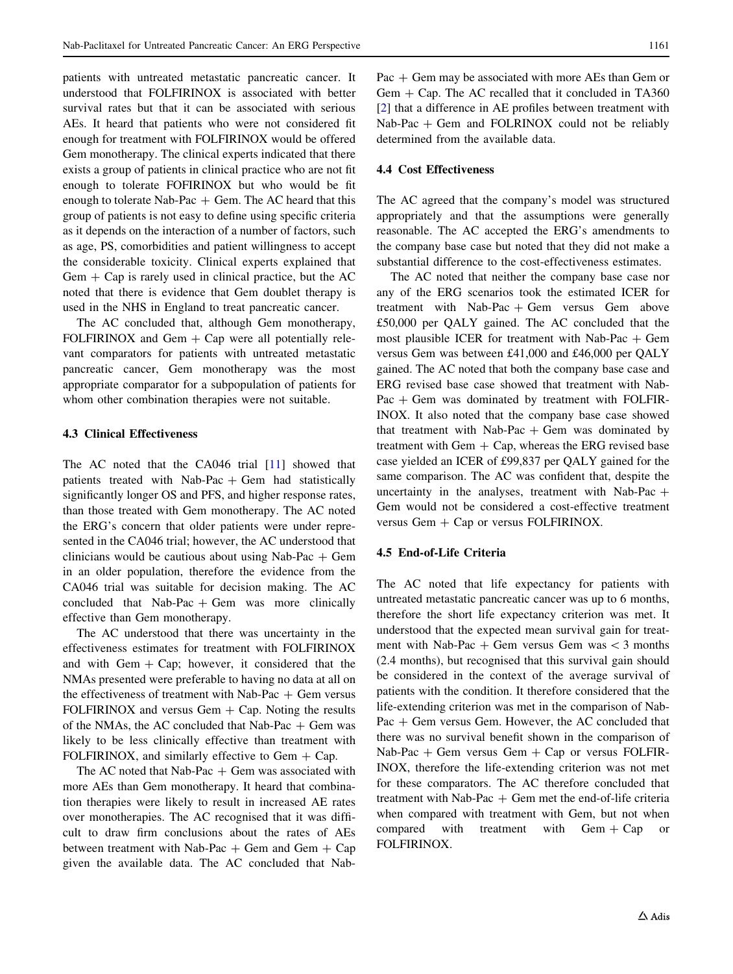patients with untreated metastatic pancreatic cancer. It understood that FOLFIRINOX is associated with better survival rates but that it can be associated with serious AEs. It heard that patients who were not considered fit enough for treatment with FOLFIRINOX would be offered Gem monotherapy. The clinical experts indicated that there exists a group of patients in clinical practice who are not fit enough to tolerate FOFIRINOX but who would be fit enough to tolerate Nab-Pac  $+$  Gem. The AC heard that this group of patients is not easy to define using specific criteria as it depends on the interaction of a number of factors, such as age, PS, comorbidities and patient willingness to accept the considerable toxicity. Clinical experts explained that  $Gem + Cap$  is rarely used in clinical practice, but the AC noted that there is evidence that Gem doublet therapy is used in the NHS in England to treat pancreatic cancer.

The AC concluded that, although Gem monotherapy, FOLFIRINOX and Gem  $+$  Cap were all potentially relevant comparators for patients with untreated metastatic pancreatic cancer, Gem monotherapy was the most appropriate comparator for a subpopulation of patients for whom other combination therapies were not suitable.

### 4.3 Clinical Effectiveness

The AC noted that the CA046 trial [[11\]](#page-9-0) showed that patients treated with Nab-Pac  $+$  Gem had statistically significantly longer OS and PFS, and higher response rates, than those treated with Gem monotherapy. The AC noted the ERG's concern that older patients were under represented in the CA046 trial; however, the AC understood that clinicians would be cautious about using Nab-Pac  $+$  Gem in an older population, therefore the evidence from the CA046 trial was suitable for decision making. The AC concluded that Nab-Pac  $+$  Gem was more clinically effective than Gem monotherapy.

The AC understood that there was uncertainty in the effectiveness estimates for treatment with FOLFIRINOX and with Gem  $+$  Cap; however, it considered that the NMAs presented were preferable to having no data at all on the effectiveness of treatment with Nab-Pac  $+$  Gem versus FOLFIRINOX and versus Gem  $+$  Cap. Noting the results of the NMAs, the AC concluded that Nab-Pac  $+$  Gem was likely to be less clinically effective than treatment with FOLFIRINOX, and similarly effective to Gem  $+$  Cap.

The AC noted that Nab-Pac  $+$  Gem was associated with more AEs than Gem monotherapy. It heard that combination therapies were likely to result in increased AE rates over monotherapies. The AC recognised that it was difficult to draw firm conclusions about the rates of AEs between treatment with Nab-Pac  $+$  Gem and Gem  $+$  Cap given the available data. The AC concluded that Nab $Pac + Gem$  may be associated with more AEs than Gem or  $Gem + Cap$ . The AC recalled that it concluded in TA360 [\[2](#page-9-0)] that a difference in AE profiles between treatment with Nab-Pac  $+$  Gem and FOLRINOX could not be reliably determined from the available data.

# 4.4 Cost Effectiveness

The AC agreed that the company's model was structured appropriately and that the assumptions were generally reasonable. The AC accepted the ERG's amendments to the company base case but noted that they did not make a substantial difference to the cost-effectiveness estimates.

The AC noted that neither the company base case nor any of the ERG scenarios took the estimated ICER for treatment with Nab-Pac  $+$  Gem versus Gem above £50,000 per QALY gained. The AC concluded that the most plausible ICER for treatment with Nab-Pac  $+$  Gem versus Gem was between £41,000 and £46,000 per QALY gained. The AC noted that both the company base case and ERG revised base case showed that treatment with Nab- $Pac + Gem$  was dominated by treatment with FOLFIR-INOX. It also noted that the company base case showed that treatment with Nab-Pac  $+$  Gem was dominated by treatment with Gem  $+$  Cap, whereas the ERG revised base case yielded an ICER of £99,837 per QALY gained for the same comparison. The AC was confident that, despite the uncertainty in the analyses, treatment with Nab-Pac  $+$ Gem would not be considered a cost-effective treatment versus  $Gem + Cap$  or versus FOLFIRINOX.

# 4.5 End-of-Life Criteria

The AC noted that life expectancy for patients with untreated metastatic pancreatic cancer was up to 6 months, therefore the short life expectancy criterion was met. It understood that the expected mean survival gain for treatment with Nab-Pac  $+$  Gem versus Gem was  $<$  3 months (2.4 months), but recognised that this survival gain should be considered in the context of the average survival of patients with the condition. It therefore considered that the life-extending criterion was met in the comparison of Nab- $Pac + Gem$  versus Gem. However, the AC concluded that there was no survival benefit shown in the comparison of Nab-Pac  $+$  Gem versus Gem  $+$  Cap or versus FOLFIR-INOX, therefore the life-extending criterion was not met for these comparators. The AC therefore concluded that treatment with Nab-Pac  $+$  Gem met the end-of-life criteria when compared with treatment with Gem, but not when compared with treatment with  $Gem + Cap$  or FOLFIRINOX.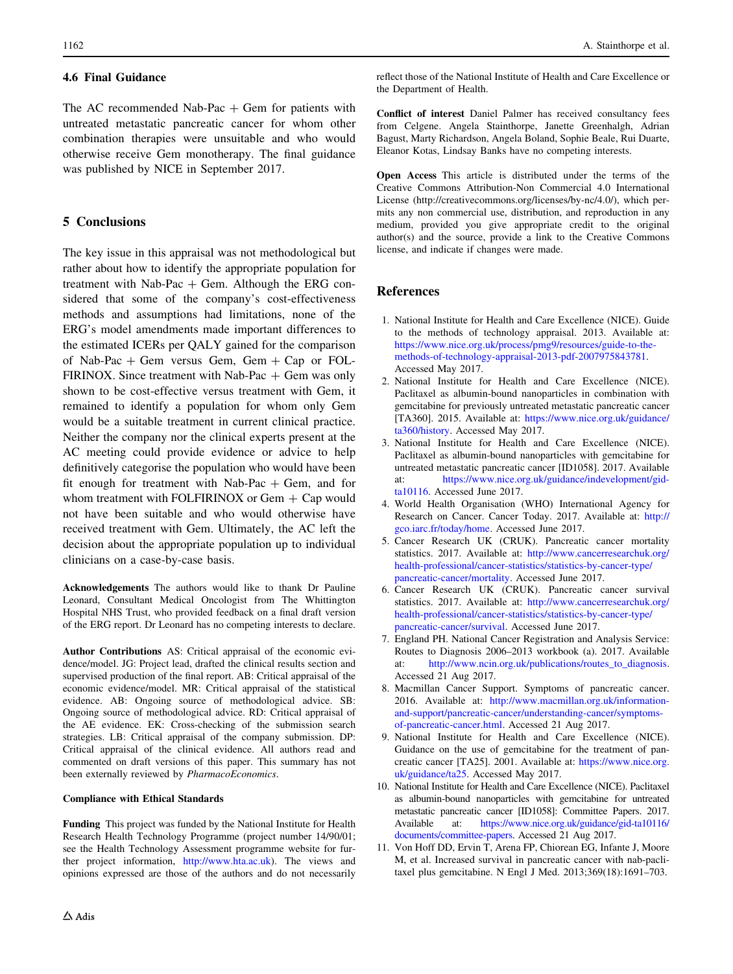### <span id="page-9-0"></span>4.6 Final Guidance

The AC recommended Nab-Pac  $+$  Gem for patients with untreated metastatic pancreatic cancer for whom other combination therapies were unsuitable and who would otherwise receive Gem monotherapy. The final guidance was published by NICE in September 2017.

# 5 Conclusions

The key issue in this appraisal was not methodological but rather about how to identify the appropriate population for treatment with Nab-Pac  $+$  Gem. Although the ERG considered that some of the company's cost-effectiveness methods and assumptions had limitations, none of the ERG's model amendments made important differences to the estimated ICERs per QALY gained for the comparison of Nab-Pac  $+$  Gem versus Gem, Gem  $+$  Cap or FOL-FIRINOX. Since treatment with Nab-Pac  $+$  Gem was only shown to be cost-effective versus treatment with Gem, it remained to identify a population for whom only Gem would be a suitable treatment in current clinical practice. Neither the company nor the clinical experts present at the AC meeting could provide evidence or advice to help definitively categorise the population who would have been fit enough for treatment with Nab-Pac  $+$  Gem, and for whom treatment with FOLFIRINOX or Gem  $+$  Cap would not have been suitable and who would otherwise have received treatment with Gem. Ultimately, the AC left the decision about the appropriate population up to individual clinicians on a case-by-case basis.

Acknowledgements The authors would like to thank Dr Pauline Leonard, Consultant Medical Oncologist from The Whittington Hospital NHS Trust, who provided feedback on a final draft version of the ERG report. Dr Leonard has no competing interests to declare.

Author Contributions AS: Critical appraisal of the economic evidence/model. JG: Project lead, drafted the clinical results section and supervised production of the final report. AB: Critical appraisal of the economic evidence/model. MR: Critical appraisal of the statistical evidence. AB: Ongoing source of methodological advice. SB: Ongoing source of methodological advice. RD: Critical appraisal of the AE evidence. EK: Cross-checking of the submission search strategies. LB: Critical appraisal of the company submission. DP: Critical appraisal of the clinical evidence. All authors read and commented on draft versions of this paper. This summary has not been externally reviewed by PharmacoEconomics.

### Compliance with Ethical Standards

Funding This project was funded by the National Institute for Health Research Health Technology Programme (project number 14/90/01; see the Health Technology Assessment programme website for further project information, <http://www.hta.ac.uk>). The views and opinions expressed are those of the authors and do not necessarily

reflect those of the National Institute of Health and Care Excellence or the Department of Health.

Conflict of interest Daniel Palmer has received consultancy fees from Celgene. Angela Stainthorpe, Janette Greenhalgh, Adrian Bagust, Marty Richardson, Angela Boland, Sophie Beale, Rui Duarte, Eleanor Kotas, Lindsay Banks have no competing interests.

Open Access This article is distributed under the terms of the Creative Commons Attribution-Non Commercial 4.0 International License (http://creativecommons.org/licenses/by-nc/4.0/), which permits any non commercial use, distribution, and reproduction in any medium, provided you give appropriate credit to the original author(s) and the source, provide a link to the Creative Commons license, and indicate if changes were made.

# References

- 1. National Institute for Health and Care Excellence (NICE). Guide to the methods of technology appraisal. 2013. Available at: [https://www.nice.org.uk/process/pmg9/resources/guide-to-the](https://www.nice.org.uk/process/pmg9/resources/guide-to-the-methods-of-technology-appraisal-2013-pdf-2007975843781)[methods-of-technology-appraisal-2013-pdf-2007975843781](https://www.nice.org.uk/process/pmg9/resources/guide-to-the-methods-of-technology-appraisal-2013-pdf-2007975843781). Accessed May 2017.
- 2. National Institute for Health and Care Excellence (NICE). Paclitaxel as albumin-bound nanoparticles in combination with gemcitabine for previously untreated metastatic pancreatic cancer [TA360]. 2015. Available at: [https://www.nice.org.uk/guidance/](https://www.nice.org.uk/guidance/ta360/history) [ta360/history.](https://www.nice.org.uk/guidance/ta360/history) Accessed May 2017.
- 3. National Institute for Health and Care Excellence (NICE). Paclitaxel as albumin-bound nanoparticles with gemcitabine for untreated metastatic pancreatic cancer [ID1058]. 2017. Available at: [https://www.nice.org.uk/guidance/indevelopment/gid](https://www.nice.org.uk/guidance/indevelopment/gid-ta10116)[ta10116](https://www.nice.org.uk/guidance/indevelopment/gid-ta10116). Accessed June 2017.
- 4. World Health Organisation (WHO) International Agency for Research on Cancer. Cancer Today. 2017. Available at: [http://](http://gco.iarc.fr/today/home) [gco.iarc.fr/today/home](http://gco.iarc.fr/today/home). Accessed June 2017.
- 5. Cancer Research UK (CRUK). Pancreatic cancer mortality statistics. 2017. Available at: [http://www.cancerresearchuk.org/](http://www.cancerresearchuk.org/health-professional/cancer-statistics/statistics-by-cancer-type/pancreatic-cancer/mortality) [health-professional/cancer-statistics/statistics-by-cancer-type/](http://www.cancerresearchuk.org/health-professional/cancer-statistics/statistics-by-cancer-type/pancreatic-cancer/mortality) [pancreatic-cancer/mortality](http://www.cancerresearchuk.org/health-professional/cancer-statistics/statistics-by-cancer-type/pancreatic-cancer/mortality). Accessed June 2017.
- 6. Cancer Research UK (CRUK). Pancreatic cancer survival statistics. 2017. Available at: [http://www.cancerresearchuk.org/](http://www.cancerresearchuk.org/health-professional/cancer-statistics/statistics-by-cancer-type/pancreatic-cancer/survival) [health-professional/cancer-statistics/statistics-by-cancer-type/](http://www.cancerresearchuk.org/health-professional/cancer-statistics/statistics-by-cancer-type/pancreatic-cancer/survival) [pancreatic-cancer/survival.](http://www.cancerresearchuk.org/health-professional/cancer-statistics/statistics-by-cancer-type/pancreatic-cancer/survival) Accessed June 2017.
- 7. England PH. National Cancer Registration and Analysis Service: Routes to Diagnosis 2006–2013 workbook (a). 2017. Available at: [http://www.ncin.org.uk/publications/routes\\_to\\_diagnosis](http://www.ncin.org.uk/publications/routes_to_diagnosis). Accessed 21 Aug 2017.
- 8. Macmillan Cancer Support. Symptoms of pancreatic cancer. 2016. Available at: [http://www.macmillan.org.uk/information](http://www.macmillan.org.uk/information-and-support/pancreatic-cancer/understanding-cancer/symptoms-of-pancreatic-cancer.html)[and-support/pancreatic-cancer/understanding-cancer/symptoms](http://www.macmillan.org.uk/information-and-support/pancreatic-cancer/understanding-cancer/symptoms-of-pancreatic-cancer.html)[of-pancreatic-cancer.html](http://www.macmillan.org.uk/information-and-support/pancreatic-cancer/understanding-cancer/symptoms-of-pancreatic-cancer.html). Accessed 21 Aug 2017.
- 9. National Institute for Health and Care Excellence (NICE). Guidance on the use of gemcitabine for the treatment of pancreatic cancer [TA25]. 2001. Available at: [https://www.nice.org.](https://www.nice.org.uk/guidance/ta25) [uk/guidance/ta25](https://www.nice.org.uk/guidance/ta25). Accessed May 2017.
- 10. National Institute for Health and Care Excellence (NICE). Paclitaxel as albumin-bound nanoparticles with gemcitabine for untreated metastatic pancreatic cancer [ID1058]: Committee Papers. 2017. Available at: [https://www.nice.org.uk/guidance/gid-ta10116/](https://www.nice.org.uk/guidance/gid-ta10116/documents/committee-papers) [documents/committee-papers](https://www.nice.org.uk/guidance/gid-ta10116/documents/committee-papers). Accessed 21 Aug 2017.
- 11. Von Hoff DD, Ervin T, Arena FP, Chiorean EG, Infante J, Moore M, et al. Increased survival in pancreatic cancer with nab-paclitaxel plus gemcitabine. N Engl J Med. 2013;369(18):1691–703.